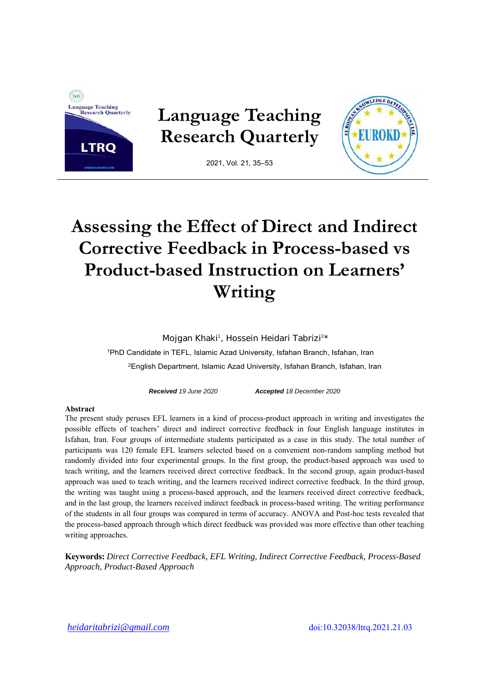

# **Assessing the Effect of Direct and Indirect Corrective Feedback in Process-based vs Product-based Instruction on Learners' Writing**

Mojgan Khaki<sup>1</sup>, Hossein Heidari Tabrizi<sup>2\*</sup>

1PhD Candidate in TEFL, Islamic Azad University, Isfahan Branch, Isfahan, Iran 2English Department, Islamic Azad University, Isfahan Branch, Isfahan, Iran

*Received 19 June 2020 Accepted 18 December 2020* 

#### **Abstract**

The present study peruses EFL learners in a kind of process-product approach in writing and investigates the possible effects of teachers' direct and indirect corrective feedback in four English language institutes in Isfahan, Iran. Four groups of intermediate students participated as a case in this study. The total number of participants was 120 female EFL learners selected based on a convenient non-random sampling method but randomly divided into four experimental groups. In the first group, the product-based approach was used to teach writing, and the learners received direct corrective feedback. In the second group, again product-based approach was used to teach writing, and the learners received indirect corrective feedback. In the third group, the writing was taught using a process-based approach, and the learners received direct corrective feedback, and in the last group, the learners received indirect feedback in process-based writing. The writing performance of the students in all four groups was compared in terms of accuracy. ANOVA and Post-hoc tests revealed that the process-based approach through which direct feedback was provided was more effective than other teaching writing approaches.

**Keywords:** *Direct Corrective Feedback, EFL Writing, Indirect Corrective Feedback, Process-Based Approach, Product-Based Approach*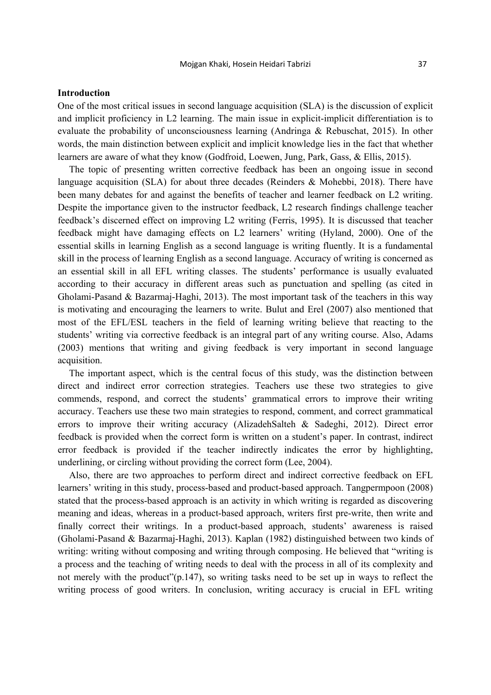## **Introduction**

One of the most critical issues in second language acquisition (SLA) is the discussion of explicit and implicit proficiency in L2 learning. The main issue in explicit-implicit differentiation is to evaluate the probability of unconsciousness learning (Andringa & Rebuschat, 2015). In other words, the main distinction between explicit and implicit knowledge lies in the fact that whether learners are aware of what they know (Godfroid, Loewen, Jung, Park, Gass, & Ellis, 2015).

The topic of presenting written corrective feedback has been an ongoing issue in second language acquisition (SLA) for about three decades (Reinders & Mohebbi, 2018). There have been many debates for and against the benefits of teacher and learner feedback on L2 writing. Despite the importance given to the instructor feedback, L2 research findings challenge teacher feedback's discerned effect on improving L2 writing (Ferris, 1995). It is discussed that teacher feedback might have damaging effects on L2 learners' writing (Hyland, 2000). One of the essential skills in learning English as a second language is writing fluently. It is a fundamental skill in the process of learning English as a second language. Accuracy of writing is concerned as an essential skill in all EFL writing classes. The students' performance is usually evaluated according to their accuracy in different areas such as punctuation and spelling (as cited in Gholami-Pasand & Bazarmaj-Haghi, 2013). The most important task of the teachers in this way is motivating and encouraging the learners to write. Bulut and Erel (2007) also mentioned that most of the EFL/ESL teachers in the field of learning writing believe that reacting to the students' writing via corrective feedback is an integral part of any writing course. Also, Adams (2003) mentions that writing and giving feedback is very important in second language acquisition.

The important aspect, which is the central focus of this study, was the distinction between direct and indirect error correction strategies. Teachers use these two strategies to give commends, respond, and correct the students' grammatical errors to improve their writing accuracy. Teachers use these two main strategies to respond, comment, and correct grammatical errors to improve their writing accuracy (AlizadehSalteh & Sadeghi, 2012). Direct error feedback is provided when the correct form is written on a student's paper. In contrast, indirect error feedback is provided if the teacher indirectly indicates the error by highlighting, underlining, or circling without providing the correct form (Lee, 2004).

Also, there are two approaches to perform direct and indirect corrective feedback on EFL learners' writing in this study, process-based and product-based approach. Tangpermpoon (2008) stated that the process-based approach is an activity in which writing is regarded as discovering meaning and ideas, whereas in a product-based approach, writers first pre-write, then write and finally correct their writings. In a product-based approach, students' awareness is raised (Gholami-Pasand & Bazarmaj-Haghi, 2013). Kaplan (1982) distinguished between two kinds of writing: writing without composing and writing through composing. He believed that "writing is a process and the teaching of writing needs to deal with the process in all of its complexity and not merely with the product"(p.147), so writing tasks need to be set up in ways to reflect the writing process of good writers. In conclusion, writing accuracy is crucial in EFL writing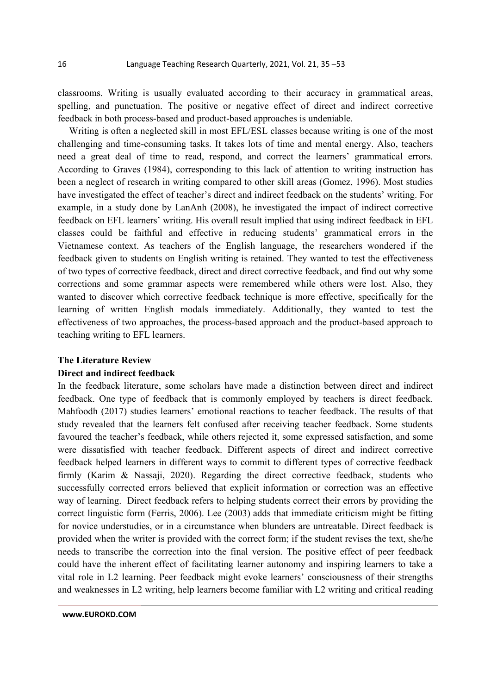classrooms. Writing is usually evaluated according to their accuracy in grammatical areas, spelling, and punctuation. The positive or negative effect of direct and indirect corrective feedback in both process-based and product-based approaches is undeniable.

Writing is often a neglected skill in most EFL/ESL classes because writing is one of the most challenging and time-consuming tasks. It takes lots of time and mental energy. Also, teachers need a great deal of time to read, respond, and correct the learners' grammatical errors. According to Graves (1984), corresponding to this lack of attention to writing instruction has been a neglect of research in writing compared to other skill areas (Gomez, 1996). Most studies have investigated the effect of teacher's direct and indirect feedback on the students' writing. For example, in a study done by LanAnh (2008), he investigated the impact of indirect corrective feedback on EFL learners' writing. His overall result implied that using indirect feedback in EFL classes could be faithful and effective in reducing students' grammatical errors in the Vietnamese context. As teachers of the English language, the researchers wondered if the feedback given to students on English writing is retained. They wanted to test the effectiveness of two types of corrective feedback, direct and direct corrective feedback, and find out why some corrections and some grammar aspects were remembered while others were lost. Also, they wanted to discover which corrective feedback technique is more effective, specifically for the learning of written English modals immediately. Additionally, they wanted to test the effectiveness of two approaches, the process-based approach and the product-based approach to teaching writing to EFL learners.

## **The Literature Review**

#### **Direct and indirect feedback**

In the feedback literature, some scholars have made a distinction between direct and indirect feedback. One type of feedback that is commonly employed by teachers is direct feedback. Mahfoodh (2017) studies learners' emotional reactions to teacher feedback. The results of that study revealed that the learners felt confused after receiving teacher feedback. Some students favoured the teacher's feedback, while others rejected it, some expressed satisfaction, and some were dissatisfied with teacher feedback. Different aspects of direct and indirect corrective feedback helped learners in different ways to commit to different types of corrective feedback firmly (Karim & Nassaji, 2020). Regarding the direct corrective feedback, students who successfully corrected errors believed that explicit information or correction was an effective way of learning. Direct feedback refers to helping students correct their errors by providing the correct linguistic form (Ferris, 2006). Lee (2003) adds that immediate criticism might be fitting for novice understudies, or in a circumstance when blunders are untreatable. Direct feedback is provided when the writer is provided with the correct form; if the student revises the text, she/he needs to transcribe the correction into the final version. The positive effect of peer feedback could have the inherent effect of facilitating learner autonomy and inspiring learners to take a vital role in L2 learning. Peer feedback might evoke learners' consciousness of their strengths and weaknesses in L2 writing, help learners become familiar with L2 writing and critical reading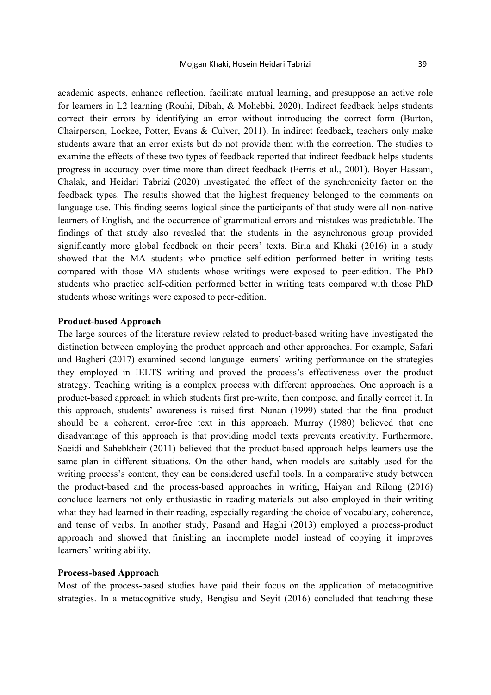academic aspects, enhance reflection, facilitate mutual learning, and presuppose an active role for learners in L2 learning (Rouhi, Dibah, & Mohebbi, 2020). Indirect feedback helps students correct their errors by identifying an error without introducing the correct form (Burton, Chairperson, Lockee, Potter, Evans & Culver, 2011). In indirect feedback, teachers only make students aware that an error exists but do not provide them with the correction. The studies to examine the effects of these two types of feedback reported that indirect feedback helps students progress in accuracy over time more than direct feedback (Ferris et al., 2001). Boyer Hassani, Chalak, and Heidari Tabrizi (2020) investigated the effect of the synchronicity factor on the feedback types. The results showed that the highest frequency belonged to the comments on language use. This finding seems logical since the participants of that study were all non-native learners of English, and the occurrence of grammatical errors and mistakes was predictable. The findings of that study also revealed that the students in the asynchronous group provided significantly more global feedback on their peers' texts. Biria and Khaki (2016) in a study showed that the MA students who practice self-edition performed better in writing tests compared with those MA students whose writings were exposed to peer-edition. The PhD students who practice self-edition performed better in writing tests compared with those PhD students whose writings were exposed to peer-edition.

## **Product-based Approach**

The large sources of the literature review related to product-based writing have investigated the distinction between employing the product approach and other approaches. For example, Safari and Bagheri (2017) examined second language learners' writing performance on the strategies they employed in IELTS writing and proved the process's effectiveness over the product strategy. Teaching writing is a complex process with different approaches. One approach is a product-based approach in which students first pre-write, then compose, and finally correct it. In this approach, students' awareness is raised first. Nunan (1999) stated that the final product should be a coherent, error-free text in this approach. Murray (1980) believed that one disadvantage of this approach is that providing model texts prevents creativity. Furthermore, Saeidi and Sahebkheir (2011) believed that the product-based approach helps learners use the same plan in different situations. On the other hand, when models are suitably used for the writing process's content, they can be considered useful tools. In a comparative study between the product-based and the process-based approaches in writing, Haiyan and Rilong (2016) conclude learners not only enthusiastic in reading materials but also employed in their writing what they had learned in their reading, especially regarding the choice of vocabulary, coherence, and tense of verbs. In another study, Pasand and Haghi (2013) employed a process-product approach and showed that finishing an incomplete model instead of copying it improves learners' writing ability.

## **Process-based Approach**

Most of the process-based studies have paid their focus on the application of metacognitive strategies. In a metacognitive study, Bengisu and Seyit (2016) concluded that teaching these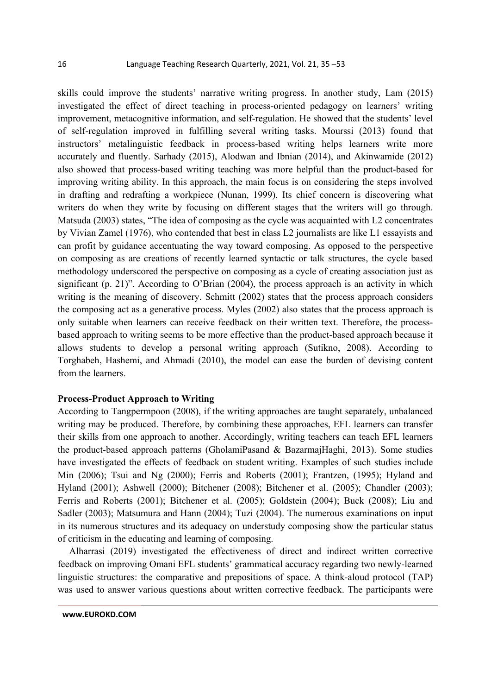skills could improve the students' narrative writing progress. In another study, Lam (2015) investigated the effect of direct teaching in process-oriented pedagogy on learners' writing improvement, metacognitive information, and self-regulation. He showed that the students' level of self-regulation improved in fulfilling several writing tasks. Mourssi (2013) found that instructors' metalinguistic feedback in process-based writing helps learners write more accurately and fluently. Sarhady (2015), Alodwan and Ibnian (2014), and Akinwamide (2012) also showed that process-based writing teaching was more helpful than the product-based for improving writing ability. In this approach, the main focus is on considering the steps involved in drafting and redrafting a workpiece (Nunan, 1999). Its chief concern is discovering what writers do when they write by focusing on different stages that the writers will go through. Matsuda (2003) states, "The idea of composing as the cycle was acquainted with L2 concentrates by Vivian Zamel (1976), who contended that best in class L2 journalists are like L1 essayists and can profit by guidance accentuating the way toward composing. As opposed to the perspective on composing as are creations of recently learned syntactic or talk structures, the cycle based methodology underscored the perspective on composing as a cycle of creating association just as significant (p. 21)". According to O'Brian (2004), the process approach is an activity in which writing is the meaning of discovery. Schmitt (2002) states that the process approach considers the composing act as a generative process. Myles (2002) also states that the process approach is only suitable when learners can receive feedback on their written text. Therefore, the processbased approach to writing seems to be more effective than the product-based approach because it allows students to develop a personal writing approach (Sutikno, 2008). According to Torghabeh, Hashemi, and Ahmadi (2010), the model can ease the burden of devising content from the learners.

#### **Process-Product Approach to Writing**

According to Tangpermpoon (2008), if the writing approaches are taught separately, unbalanced writing may be produced. Therefore, by combining these approaches, EFL learners can transfer their skills from one approach to another. Accordingly, writing teachers can teach EFL learners the product-based approach patterns (GholamiPasand & BazarmajHaghi, 2013). Some studies have investigated the effects of feedback on student writing. Examples of such studies include Min (2006); Tsui and Ng (2000); Ferris and Roberts (2001); Frantzen, (1995); Hyland and Hyland (2001); Ashwell (2000); Bitchener (2008); Bitchener et al. (2005); Chandler (2003); Ferris and Roberts (2001); Bitchener et al. (2005); Goldstein (2004); Buck (2008); Liu and Sadler (2003); Matsumura and Hann (2004); Tuzi (2004). The numerous examinations on input in its numerous structures and its adequacy on understudy composing show the particular status of criticism in the educating and learning of composing.

Alharrasi (2019) investigated the effectiveness of direct and indirect written corrective feedback on improving Omani EFL students' grammatical accuracy regarding two newly-learned linguistic structures: the comparative and prepositions of space. A think-aloud protocol (TAP) was used to answer various questions about written corrective feedback. The participants were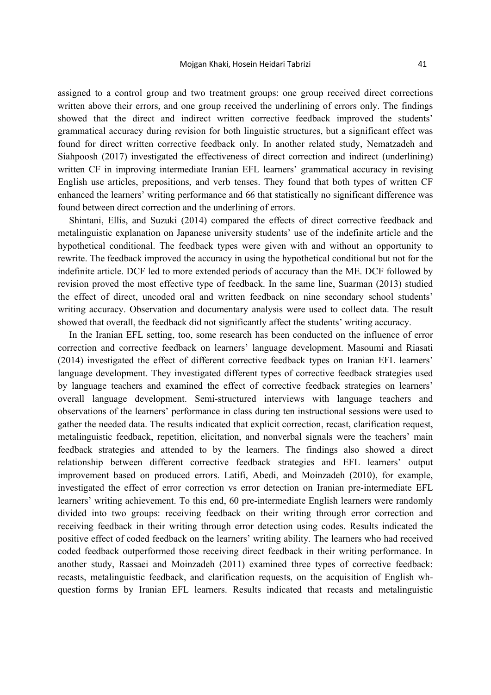assigned to a control group and two treatment groups: one group received direct corrections written above their errors, and one group received the underlining of errors only. The findings showed that the direct and indirect written corrective feedback improved the students' grammatical accuracy during revision for both linguistic structures, but a significant effect was found for direct written corrective feedback only. In another related study, Nematzadeh and Siahpoosh (2017) investigated the effectiveness of direct correction and indirect (underlining) written CF in improving intermediate Iranian EFL learners' grammatical accuracy in revising English use articles, prepositions, and verb tenses. They found that both types of written CF enhanced the learners' writing performance and 66 that statistically no significant difference was found between direct correction and the underlining of errors.

Shintani, Ellis, and Suzuki (2014) compared the effects of direct corrective feedback and metalinguistic explanation on Japanese university students' use of the indefinite article and the hypothetical conditional. The feedback types were given with and without an opportunity to rewrite. The feedback improved the accuracy in using the hypothetical conditional but not for the indefinite article. DCF led to more extended periods of accuracy than the ME. DCF followed by revision proved the most effective type of feedback. In the same line, Suarman (2013) studied the effect of direct, uncoded oral and written feedback on nine secondary school students' writing accuracy. Observation and documentary analysis were used to collect data. The result showed that overall, the feedback did not significantly affect the students' writing accuracy.

In the Iranian EFL setting, too, some research has been conducted on the influence of error correction and corrective feedback on learners' language development. Masoumi and Riasati (2014) investigated the effect of different corrective feedback types on Iranian EFL learners' language development. They investigated different types of corrective feedback strategies used by language teachers and examined the effect of corrective feedback strategies on learners' overall language development. Semi-structured interviews with language teachers and observations of the learners' performance in class during ten instructional sessions were used to gather the needed data. The results indicated that explicit correction, recast, clarification request, metalinguistic feedback, repetition, elicitation, and nonverbal signals were the teachers' main feedback strategies and attended to by the learners. The findings also showed a direct relationship between different corrective feedback strategies and EFL learners' output improvement based on produced errors. Latifi, Abedi, and Moinzadeh (2010), for example, investigated the effect of error correction vs error detection on Iranian pre-intermediate EFL learners' writing achievement. To this end, 60 pre-intermediate English learners were randomly divided into two groups: receiving feedback on their writing through error correction and receiving feedback in their writing through error detection using codes. Results indicated the positive effect of coded feedback on the learners' writing ability. The learners who had received coded feedback outperformed those receiving direct feedback in their writing performance. In another study, Rassaei and Moinzadeh (2011) examined three types of corrective feedback: recasts, metalinguistic feedback, and clarification requests, on the acquisition of English whquestion forms by Iranian EFL learners. Results indicated that recasts and metalinguistic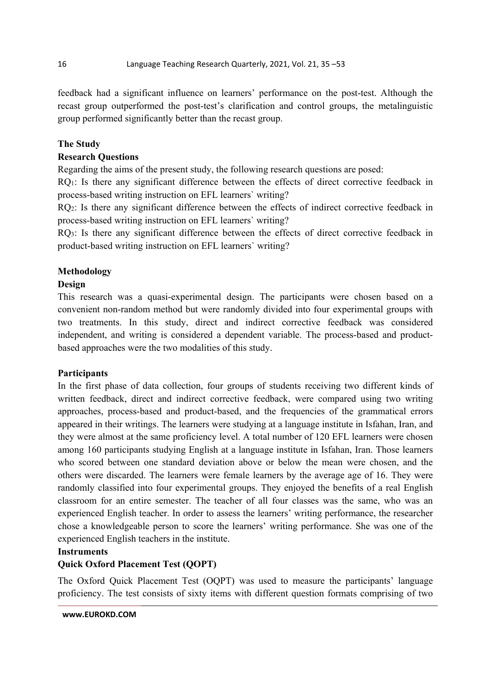feedback had a significant influence on learners' performance on the post-test. Although the recast group outperformed the post-test's clarification and control groups, the metalinguistic group performed significantly better than the recast group.

# **The Study**

# **Research Questions**

Regarding the aims of the present study, the following research questions are posed:

RQ<sub>1</sub>: Is there any significant difference between the effects of direct corrective feedback in process-based writing instruction on EFL learners` writing?

RQ2: Is there any significant difference between the effects of indirect corrective feedback in process-based writing instruction on EFL learners` writing?

RO<sub>3</sub>: Is there any significant difference between the effects of direct corrective feedback in product-based writing instruction on EFL learners` writing?

# **Methodology**

## **Design**

This research was a quasi-experimental design. The participants were chosen based on a convenient non-random method but were randomly divided into four experimental groups with two treatments. In this study, direct and indirect corrective feedback was considered independent, and writing is considered a dependent variable. The process-based and productbased approaches were the two modalities of this study.

# **Participants**

In the first phase of data collection, four groups of students receiving two different kinds of written feedback, direct and indirect corrective feedback, were compared using two writing approaches, process-based and product-based, and the frequencies of the grammatical errors appeared in their writings. The learners were studying at a language institute in Isfahan, Iran, and they were almost at the same proficiency level. A total number of 120 EFL learners were chosen among 160 participants studying English at a language institute in Isfahan, Iran. Those learners who scored between one standard deviation above or below the mean were chosen, and the others were discarded. The learners were female learners by the average age of 16. They were randomly classified into four experimental groups. They enjoyed the benefits of a real English classroom for an entire semester. The teacher of all four classes was the same, who was an experienced English teacher. In order to assess the learners' writing performance, the researcher chose a knowledgeable person to score the learners' writing performance. She was one of the experienced English teachers in the institute.

## **Instruments**

# **Quick Oxford Placement Test (QOPT)**

The Oxford Quick Placement Test (OQPT) was used to measure the participants' language proficiency. The test consists of sixty items with different question formats comprising of two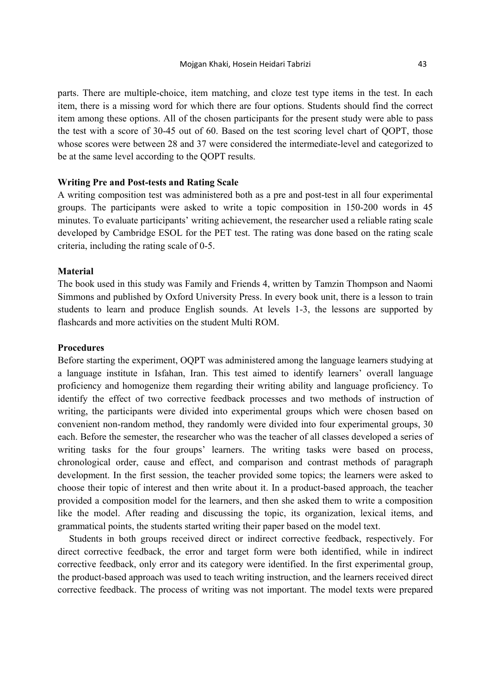parts. There are multiple-choice, item matching, and cloze test type items in the test. In each item, there is a missing word for which there are four options. Students should find the correct item among these options. All of the chosen participants for the present study were able to pass the test with a score of 30-45 out of 60. Based on the test scoring level chart of QOPT, those whose scores were between 28 and 37 were considered the intermediate-level and categorized to be at the same level according to the QOPT results.

## **Writing Pre and Post-tests and Rating Scale**

A writing composition test was administered both as a pre and post-test in all four experimental groups. The participants were asked to write a topic composition in 150-200 words in 45 minutes. To evaluate participants' writing achievement, the researcher used a reliable rating scale developed by Cambridge ESOL for the PET test. The rating was done based on the rating scale criteria, including the rating scale of 0-5.

## **Material**

The book used in this study was Family and Friends 4, written by Tamzin Thompson and Naomi Simmons and published by Oxford University Press. In every book unit, there is a lesson to train students to learn and produce English sounds. At levels 1-3, the lessons are supported by flashcards and more activities on the student Multi ROM.

## **Procedures**

Before starting the experiment, OQPT was administered among the language learners studying at a language institute in Isfahan, Iran. This test aimed to identify learners' overall language proficiency and homogenize them regarding their writing ability and language proficiency. To identify the effect of two corrective feedback processes and two methods of instruction of writing, the participants were divided into experimental groups which were chosen based on convenient non-random method, they randomly were divided into four experimental groups, 30 each. Before the semester, the researcher who was the teacher of all classes developed a series of writing tasks for the four groups' learners. The writing tasks were based on process, chronological order, cause and effect, and comparison and contrast methods of paragraph development. In the first session, the teacher provided some topics; the learners were asked to choose their topic of interest and then write about it. In a product-based approach, the teacher provided a composition model for the learners, and then she asked them to write a composition like the model. After reading and discussing the topic, its organization, lexical items, and grammatical points, the students started writing their paper based on the model text.

Students in both groups received direct or indirect corrective feedback, respectively. For direct corrective feedback, the error and target form were both identified, while in indirect corrective feedback, only error and its category were identified. In the first experimental group, the product-based approach was used to teach writing instruction, and the learners received direct corrective feedback. The process of writing was not important. The model texts were prepared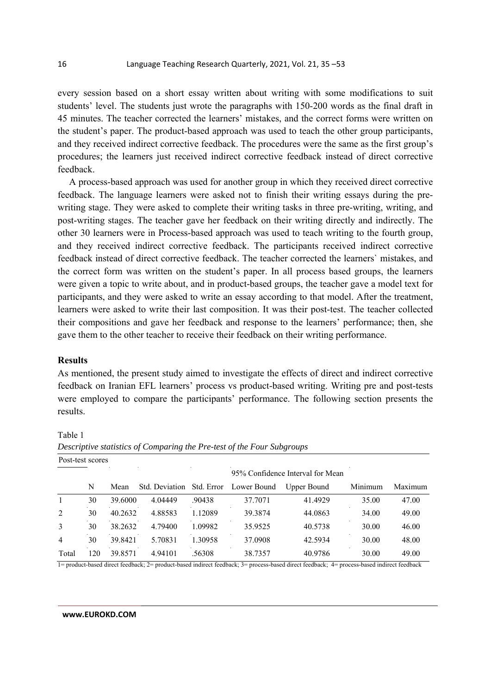every session based on a short essay written about writing with some modifications to suit students' level. The students just wrote the paragraphs with 150-200 words as the final draft in 45 minutes. The teacher corrected the learners' mistakes, and the correct forms were written on the student's paper. The product-based approach was used to teach the other group participants, and they received indirect corrective feedback. The procedures were the same as the first group's procedures; the learners just received indirect corrective feedback instead of direct corrective feedback.

A process-based approach was used for another group in which they received direct corrective feedback. The language learners were asked not to finish their writing essays during the prewriting stage. They were asked to complete their writing tasks in three pre-writing, writing, and post-writing stages. The teacher gave her feedback on their writing directly and indirectly. The other 30 learners were in Process-based approach was used to teach writing to the fourth group, and they received indirect corrective feedback. The participants received indirect corrective feedback instead of direct corrective feedback. The teacher corrected the learners` mistakes, and the correct form was written on the student's paper. In all process based groups, the learners were given a topic to write about, and in product-based groups, the teacher gave a model text for participants, and they were asked to write an essay according to that model. After the treatment, learners were asked to write their last composition. It was their post-test. The teacher collected their compositions and gave her feedback and response to the learners' performance; then, she gave them to the other teacher to receive their feedback on their writing performance.

## **Results**

As mentioned, the present study aimed to investigate the effects of direct and indirect corrective feedback on Iranian EFL learners' process vs product-based writing. Writing pre and post-tests were employed to compare the participants' performance. The following section presents the results.

# Table 1

| T OPL-MOL POOLOP |     |         |                |            |             |                                  |         |         |
|------------------|-----|---------|----------------|------------|-------------|----------------------------------|---------|---------|
|                  |     |         |                |            |             | 95% Confidence Interval for Mean |         |         |
|                  | N   | Mean    | Std. Deviation | Std. Error | Lower Bound | Upper Bound                      | Minimum | Maximum |
|                  | 30  | 39.6000 | 4.04449        | .90438     | 37.7071     | 41.4929                          | 35.00   | 47.00   |
| 2                | 30  | 40.2632 | 4.88583        | 1.12089    | 39.3874     | 44.0863                          | 34.00   | 49.00   |
| 3                | 30  | 38.2632 | 4.79400        | 1.09982    | 35.9525     | 40.5738                          | 30.00   | 46.00   |
| $\overline{4}$   | 30  | 39.8421 | 5.70831        | 1.30958    | 37.0908     | 42.5934                          | 30.00   | 48.00   |
| Total            | 120 | 39.8571 | 4.94101        | .56308     | 38.7357     | 40.9786                          | 30.00   | 49.00   |

*Descriptive statistics of Comparing the Pre-test of the Four Subgroups*  Post-test scores

1= product-based direct feedback; 2= product-based indirect feedback; 3= process-based direct feedback; 4= process-based indirect feedback

#### **www.EUROKD.COM**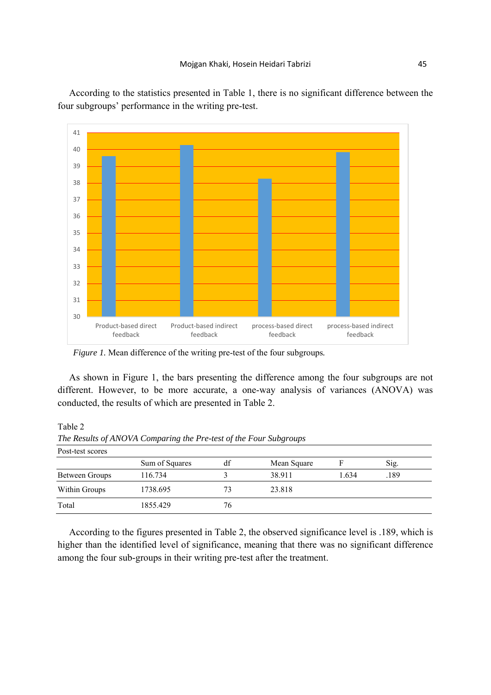According to the statistics presented in Table 1, there is no significant difference between the four subgroups' performance in the writing pre-test.



 *Figure 1.* Mean difference of the writing pre-test of the four subgroups*.* 

As shown in Figure 1, the bars presenting the difference among the four subgroups are not different. However, to be more accurate, a one-way analysis of variances (ANOVA) was conducted, the results of which are presented in Table 2.

Table 2

| Post-test scores |                |    |             |       |      |  |
|------------------|----------------|----|-------------|-------|------|--|
|                  | Sum of Squares | df | Mean Square |       | Sig. |  |
| Between Groups   | 116.734        |    | 38.911      | 1.634 | .189 |  |
| Within Groups    | 1738.695       | 73 | 23.818      |       |      |  |
| Total            | 1855.429       | 76 |             |       |      |  |

*The Results of ANOVA Comparing the Pre-test of the Four Subgroups*

According to the figures presented in Table 2, the observed significance level is .189, which is higher than the identified level of significance, meaning that there was no significant difference among the four sub-groups in their writing pre-test after the treatment.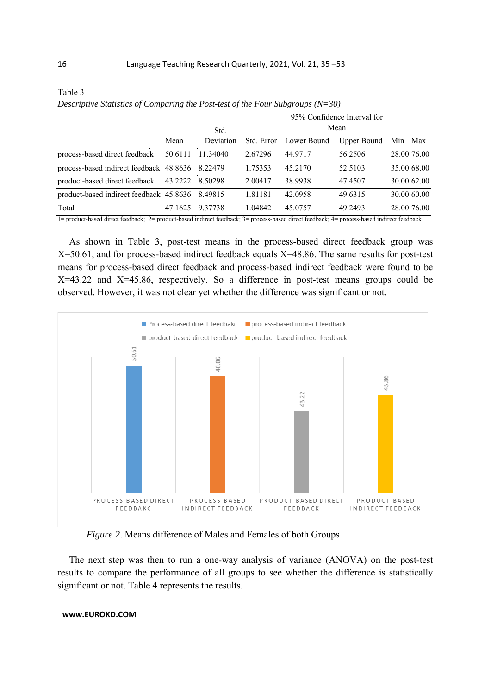|                                                                                                                                      |         |           |            |                                                                  | 95% Confidence Interval for |     |             |
|--------------------------------------------------------------------------------------------------------------------------------------|---------|-----------|------------|------------------------------------------------------------------|-----------------------------|-----|-------------|
|                                                                                                                                      | Std.    |           |            | Mean                                                             |                             |     |             |
|                                                                                                                                      | Mean    | Deviation | Std. Error | Lower Bound                                                      | Upper Bound                 | Min | Max         |
| process-based direct feedback                                                                                                        | 50.6111 | 11.34040  | 2.67296    | 44.9717                                                          | 56.2506                     |     | 28.00 76.00 |
| process-based indirect feedback 48.8636 8.22479                                                                                      |         |           | 1.75353    | 45.2170                                                          | 52.5103                     |     | 35.00 68.00 |
| product-based direct feedback                                                                                                        | 43.2222 | 8.50298   | 2.00417    | 38.9938                                                          | 47.4507                     |     | 30.00 62.00 |
| product-based indirect feedback 45.8636 8.49815                                                                                      |         |           | 1.81181    | 42.0958                                                          | 49.6315                     |     | 30.00 60.00 |
| Total                                                                                                                                | 47.1625 | 9.37738   | 1.04842    | 45.0757                                                          | 49.2493                     |     | 28.00 76.00 |
| $\mathbf{A}$ , $\mathbf{A}$ , $\mathbf{A}$ , $\mathbf{A}$ , $\mathbf{A}$ , $\mathbf{A}$ , $\mathbf{A}$ , $\mathbf{A}$ , $\mathbf{A}$ |         |           |            | $\mathbf{1}$ are contraded to a state of the second $\mathbf{1}$ |                             |     |             |

Table 3 *Descriptive Statistics of Comparing the Post-test of the Four Subgroups (N=30)*

1= product-based direct feedback; 2= product-based indirect feedback; 3= process-based direct feedback; 4= process-based indirect feedback

As shown in Table 3, post-test means in the process-based direct feedback group was X=50.61, and for process-based indirect feedback equals X=48.86. The same results for post-test means for process-based direct feedback and process-based indirect feedback were found to be  $X=43.22$  and  $X=45.86$ , respectively. So a difference in post-test means groups could be observed. However, it was not clear yet whether the difference was significant or not.



*Figure 2*. Means difference of Males and Females of both Groups

The next step was then to run a one-way analysis of variance (ANOVA) on the post-test results to compare the performance of all groups to see whether the difference is statistically significant or not. Table 4 represents the results.

**www.EUROKD.COM**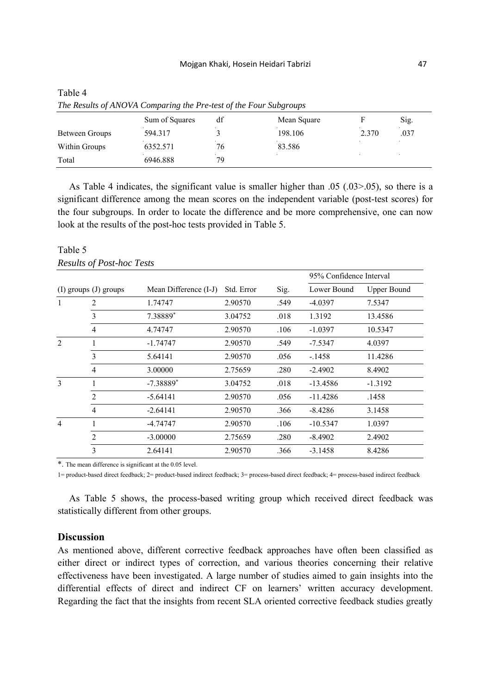|                | Sum of Squares | df | Mean Square |       | Sig. |
|----------------|----------------|----|-------------|-------|------|
| Between Groups | 594.317        |    | 198.106     | 2.370 | .037 |
| Within Groups  | 6352.571       | 76 | 83.586      |       |      |
| Total          | 6946.888       | 79 |             |       |      |

| Table 4 |                                                                   |  |
|---------|-------------------------------------------------------------------|--|
|         | The Results of ANOVA Comparing the Pre-test of the Four Subgroups |  |

As Table 4 indicates, the significant value is smaller higher than .05 (.03>.05), so there is a significant difference among the mean scores on the independent variable (post-test scores) for the four subgroups. In order to locate the difference and be more comprehensive, one can now look at the results of the post-hoc tests provided in Table 5.

# Table 5 *Results of Post-hoc Tests*

|                           |                |                       |            | Sig. | 95% Confidence Interval |                    |  |
|---------------------------|----------------|-----------------------|------------|------|-------------------------|--------------------|--|
| $(I)$ groups $(J)$ groups |                | Mean Difference (I-J) | Std. Error |      | Lower Bound             | <b>Upper Bound</b> |  |
| 1                         | 2              | 1.74747               | 2.90570    | .549 | $-4.0397$               | 7.5347             |  |
|                           | 3              | 7.38889*              | 3.04752    | .018 | 1.3192                  | 13.4586            |  |
|                           | $\overline{4}$ | 4.74747               | 2.90570    | .106 | $-1.0397$               | 10.5347            |  |
| $\overline{2}$            |                | $-1.74747$            | 2.90570    | .549 | -7.5347                 | 4.0397             |  |
|                           | 3              | 5.64141               | 2.90570    | .056 | $-1458$                 | 11.4286            |  |
|                           | $\overline{4}$ | 3.00000               | 2.75659    | .280 | $-2.4902$               | 8.4902             |  |
| 3                         |                | $-7.38889*$           | 3.04752    | .018 | -13.4586                | $-1.3192$          |  |
|                           | 2              | $-5.64141$            | 2.90570    | .056 | $-11.4286$              | .1458              |  |
|                           | 4              | $-2.64141$            | 2.90570    | .366 | $-8.4286$               | 3.1458             |  |
| $\overline{4}$            |                | -4.74747              | 2.90570    | .106 | $-10.5347$              | 1.0397             |  |
|                           | 2              | $-3.00000$            | 2.75659    | .280 | $-8.4902$               | 2.4902             |  |
|                           | 3              | 2.64141               | 2.90570    | .366 | $-3.1458$               | 8.4286             |  |
|                           |                |                       |            |      |                         |                    |  |

\*. The mean difference is significant at the 0.05 level.

1= product-based direct feedback; 2= product-based indirect feedback; 3= process-based direct feedback; 4= process-based indirect feedback

As Table 5 shows, the process-based writing group which received direct feedback was statistically different from other groups.

## **Discussion**

As mentioned above, different corrective feedback approaches have often been classified as either direct or indirect types of correction, and various theories concerning their relative effectiveness have been investigated. A large number of studies aimed to gain insights into the differential effects of direct and indirect CF on learners' written accuracy development. Regarding the fact that the insights from recent SLA oriented corrective feedback studies greatly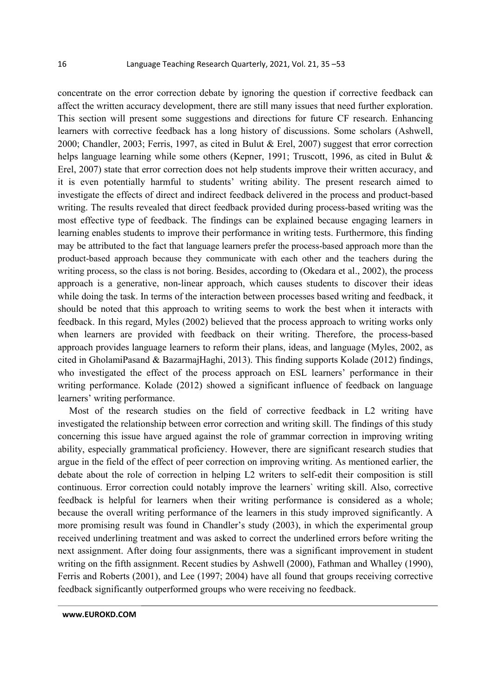concentrate on the error correction debate by ignoring the question if corrective feedback can affect the written accuracy development, there are still many issues that need further exploration. This section will present some suggestions and directions for future CF research. Enhancing learners with corrective feedback has a long history of discussions. Some scholars (Ashwell, 2000; Chandler, 2003; Ferris, 1997, as cited in Bulut & Erel, 2007) suggest that error correction helps language learning while some others (Kepner, 1991; Truscott, 1996, as cited in Bulut & Erel, 2007) state that error correction does not help students improve their written accuracy, and it is even potentially harmful to students' writing ability. The present research aimed to investigate the effects of direct and indirect feedback delivered in the process and product-based writing. The results revealed that direct feedback provided during process-based writing was the most effective type of feedback. The findings can be explained because engaging learners in learning enables students to improve their performance in writing tests. Furthermore, this finding may be attributed to the fact that language learners prefer the process-based approach more than the product-based approach because they communicate with each other and the teachers during the writing process, so the class is not boring. Besides, according to (Okedara et al., 2002), the process approach is a generative, non-linear approach, which causes students to discover their ideas while doing the task. In terms of the interaction between processes based writing and feedback, it should be noted that this approach to writing seems to work the best when it interacts with feedback. In this regard, Myles (2002) believed that the process approach to writing works only when learners are provided with feedback on their writing. Therefore, the process-based approach provides language learners to reform their plans, ideas, and language (Myles, 2002, as cited in GholamiPasand & BazarmajHaghi, 2013). This finding supports Kolade (2012) findings, who investigated the effect of the process approach on ESL learners' performance in their writing performance. Kolade (2012) showed a significant influence of feedback on language learners' writing performance.

Most of the research studies on the field of corrective feedback in L2 writing have investigated the relationship between error correction and writing skill. The findings of this study concerning this issue have argued against the role of grammar correction in improving writing ability, especially grammatical proficiency. However, there are significant research studies that argue in the field of the effect of peer correction on improving writing. As mentioned earlier, the debate about the role of correction in helping L2 writers to self-edit their composition is still continuous. Error correction could notably improve the learners` writing skill. Also, corrective feedback is helpful for learners when their writing performance is considered as a whole; because the overall writing performance of the learners in this study improved significantly. A more promising result was found in Chandler's study (2003), in which the experimental group received underlining treatment and was asked to correct the underlined errors before writing the next assignment. After doing four assignments, there was a significant improvement in student writing on the fifth assignment. Recent studies by Ashwell (2000), Fathman and Whalley (1990), Ferris and Roberts (2001), and Lee (1997; 2004) have all found that groups receiving corrective feedback significantly outperformed groups who were receiving no feedback.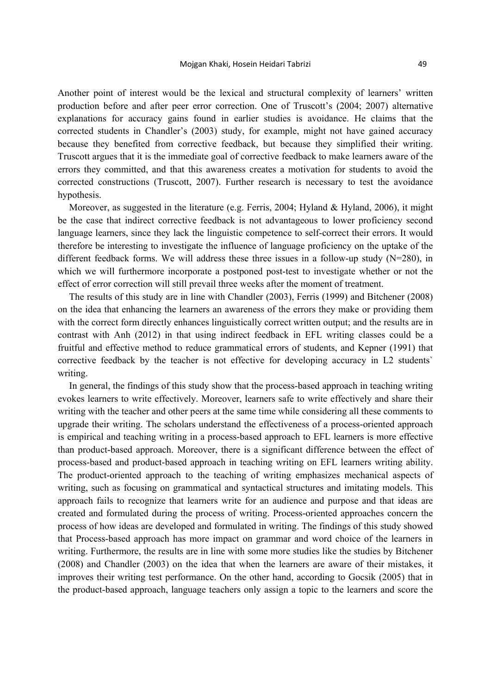Another point of interest would be the lexical and structural complexity of learners' written production before and after peer error correction. One of Truscott's (2004; 2007) alternative explanations for accuracy gains found in earlier studies is avoidance. He claims that the corrected students in Chandler's (2003) study, for example, might not have gained accuracy because they benefited from corrective feedback, but because they simplified their writing. Truscott argues that it is the immediate goal of corrective feedback to make learners aware of the errors they committed, and that this awareness creates a motivation for students to avoid the corrected constructions (Truscott, 2007). Further research is necessary to test the avoidance hypothesis.

Moreover, as suggested in the literature (e.g. Ferris, 2004; Hyland & Hyland, 2006), it might be the case that indirect corrective feedback is not advantageous to lower proficiency second language learners, since they lack the linguistic competence to self-correct their errors. It would therefore be interesting to investigate the influence of language proficiency on the uptake of the different feedback forms. We will address these three issues in a follow-up study  $(N=280)$ , in which we will furthermore incorporate a postponed post-test to investigate whether or not the effect of error correction will still prevail three weeks after the moment of treatment.

The results of this study are in line with Chandler (2003), Ferris (1999) and Bitchener (2008) on the idea that enhancing the learners an awareness of the errors they make or providing them with the correct form directly enhances linguistically correct written output; and the results are in contrast with Anh (2012) in that using indirect feedback in EFL writing classes could be a fruitful and effective method to reduce grammatical errors of students, and Kepner (1991) that corrective feedback by the teacher is not effective for developing accuracy in L2 students` writing.

In general, the findings of this study show that the process-based approach in teaching writing evokes learners to write effectively. Moreover, learners safe to write effectively and share their writing with the teacher and other peers at the same time while considering all these comments to upgrade their writing. The scholars understand the effectiveness of a process-oriented approach is empirical and teaching writing in a process-based approach to EFL learners is more effective than product-based approach. Moreover, there is a significant difference between the effect of process-based and product-based approach in teaching writing on EFL learners writing ability. The product-oriented approach to the teaching of writing emphasizes mechanical aspects of writing, such as focusing on grammatical and syntactical structures and imitating models. This approach fails to recognize that learners write for an audience and purpose and that ideas are created and formulated during the process of writing. Process-oriented approaches concern the process of how ideas are developed and formulated in writing. The findings of this study showed that Process-based approach has more impact on grammar and word choice of the learners in writing. Furthermore, the results are in line with some more studies like the studies by Bitchener (2008) and Chandler (2003) on the idea that when the learners are aware of their mistakes, it improves their writing test performance. On the other hand, according to Gocsik (2005) that in the product-based approach, language teachers only assign a topic to the learners and score the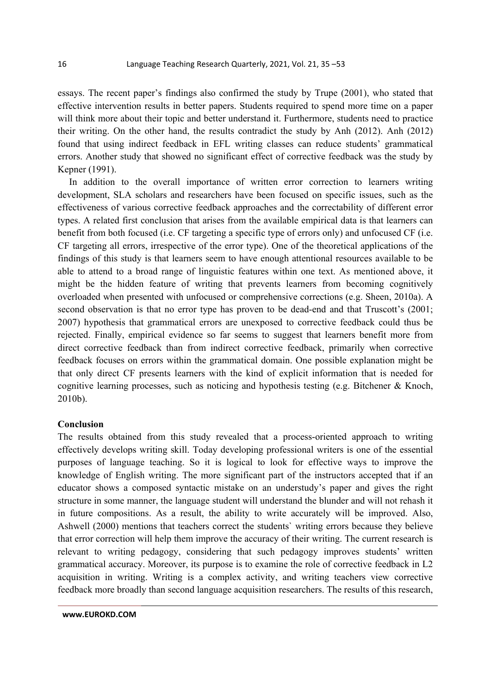essays. The recent paper's findings also confirmed the study by Trupe (2001), who stated that effective intervention results in better papers. Students required to spend more time on a paper will think more about their topic and better understand it. Furthermore, students need to practice their writing. On the other hand, the results contradict the study by Anh (2012). Anh (2012) found that using indirect feedback in EFL writing classes can reduce students' grammatical errors. Another study that showed no significant effect of corrective feedback was the study by Kepner (1991).

In addition to the overall importance of written error correction to learners writing development, SLA scholars and researchers have been focused on specific issues, such as the effectiveness of various corrective feedback approaches and the correctability of different error types. A related first conclusion that arises from the available empirical data is that learners can benefit from both focused (i.e. CF targeting a specific type of errors only) and unfocused CF (i.e. CF targeting all errors, irrespective of the error type). One of the theoretical applications of the findings of this study is that learners seem to have enough attentional resources available to be able to attend to a broad range of linguistic features within one text. As mentioned above, it might be the hidden feature of writing that prevents learners from becoming cognitively overloaded when presented with unfocused or comprehensive corrections (e.g. Sheen, 2010a). A second observation is that no error type has proven to be dead-end and that Truscott's (2001; 2007) hypothesis that grammatical errors are unexposed to corrective feedback could thus be rejected. Finally, empirical evidence so far seems to suggest that learners benefit more from direct corrective feedback than from indirect corrective feedback, primarily when corrective feedback focuses on errors within the grammatical domain. One possible explanation might be that only direct CF presents learners with the kind of explicit information that is needed for cognitive learning processes, such as noticing and hypothesis testing (e.g. Bitchener & Knoch, 2010b).

## **Conclusion**

The results obtained from this study revealed that a process-oriented approach to writing effectively develops writing skill. Today developing professional writers is one of the essential purposes of language teaching. So it is logical to look for effective ways to improve the knowledge of English writing. The more significant part of the instructors accepted that if an educator shows a composed syntactic mistake on an understudy's paper and gives the right structure in some manner, the language student will understand the blunder and will not rehash it in future compositions. As a result, the ability to write accurately will be improved. Also, Ashwell (2000) mentions that teachers correct the students` writing errors because they believe that error correction will help them improve the accuracy of their writing. The current research is relevant to writing pedagogy, considering that such pedagogy improves students' written grammatical accuracy. Moreover, its purpose is to examine the role of corrective feedback in L2 acquisition in writing. Writing is a complex activity, and writing teachers view corrective feedback more broadly than second language acquisition researchers. The results of this research,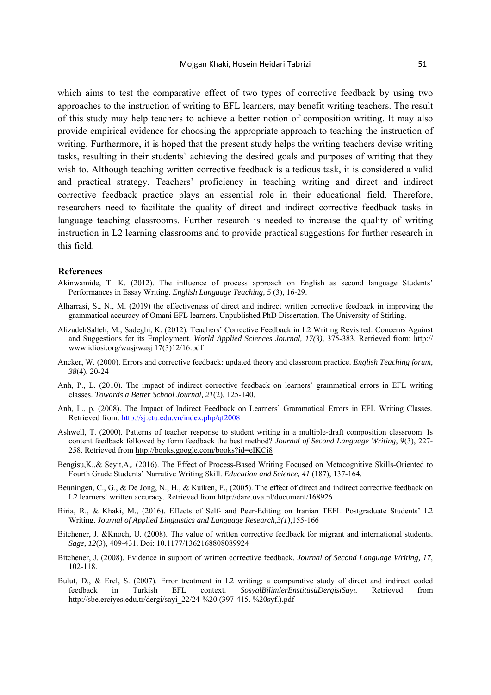which aims to test the comparative effect of two types of corrective feedback by using two approaches to the instruction of writing to EFL learners, may benefit writing teachers. The result of this study may help teachers to achieve a better notion of composition writing. It may also provide empirical evidence for choosing the appropriate approach to teaching the instruction of writing. Furthermore, it is hoped that the present study helps the writing teachers devise writing tasks, resulting in their students` achieving the desired goals and purposes of writing that they wish to. Although teaching written corrective feedback is a tedious task, it is considered a valid and practical strategy. Teachers' proficiency in teaching writing and direct and indirect corrective feedback practice plays an essential role in their educational field. Therefore, researchers need to facilitate the quality of direct and indirect corrective feedback tasks in language teaching classrooms. Further research is needed to increase the quality of writing instruction in L2 learning classrooms and to provide practical suggestions for further research in this field.

#### **References**

- Akinwamide, T. K. (2012). The influence of process approach on English as second language Students' Performances in Essay Writing. *English Language Teaching, 5* (3), 16-29.
- Alharrasi, S., N., M. (2019) the effectiveness of direct and indirect written corrective feedback in improving the grammatical accuracy of Omani EFL learners. Unpublished PhD Dissertation. The University of Stirling.
- AlizadehSalteh, M., Sadeghi, K. (2012). Teachers' Corrective Feedback in L2 Writing Revisited: Concerns Against and Suggestions for its Employment. *World Applied Sciences Journal, 17(3),* 375-383. Retrieved from: http:// www.idiosi.org/wasj/wasj 17(3)12/16.pdf
- Ancker, W. (2000). Errors and corrective feedback: updated theory and classroom practice. *English Teaching forum, 38*(4), 20-24
- Anh, P., L. (2010). The impact of indirect corrective feedback on learners` grammatical errors in EFL writing classes. *Towards a Better School Journal, 21*(2), 125-140.
- Anh, L., p. (2008). The Impact of Indirect Feedback on Learners` Grammatical Errors in EFL Writing Classes. Retrieved from: http://sj.ctu.edu.vn/index.php/qt2008
- Ashwell, T. (2000). Patterns of teacher response to student writing in a multiple-draft composition classroom: Is content feedback followed by form feedback the best method? *Journal of Second Language Writing*, 9(3), 227- 258. Retrieved from http://books.google.com/books?id=eIKCi8
- Bengisu,K,.& Seyit,A,. (2016). The Effect of Process-Based Writing Focused on Metacognitive Skills-Oriented to Fourth Grade Students' Narrative Writing Skill. *Education and Science, 41* (187), 137-164.
- Beuningen, C., G., & De Jong, N., H., & Kuiken, F., (2005). The effect of direct and indirect corrective feedback on L2 learners` written accuracy. Retrieved from http://dare.uva.nl/document/168926
- Biria, R., & Khaki, M., (2016). Effects of Self- and Peer-Editing on Iranian TEFL Postgraduate Students' L2 Writing. *Journal of Applied Linguistics and Language Research,3(1),*155-166
- Bitchener, J. &Knoch, U. (2008). The value of written corrective feedback for migrant and international students. *Sage, 12*(3), 409-431. Doi: 10.1177/1362168808089924
- Bitchener, J. (2008). Evidence in support of written corrective feedback. *Journal of Second Language Writing, 17,* 102-118.
- Bulut, D., & Erel, S. (2007). Error treatment in L2 writing: a comparative study of direct and indirect coded feedback in Turkish EFL context. *SosyalBilimlerEnstitüsüDergisiSayı.* Retrieved from http://sbe.erciyes.edu.tr/dergi/sayi\_22/24-%20 (397-415. %20syf.).pdf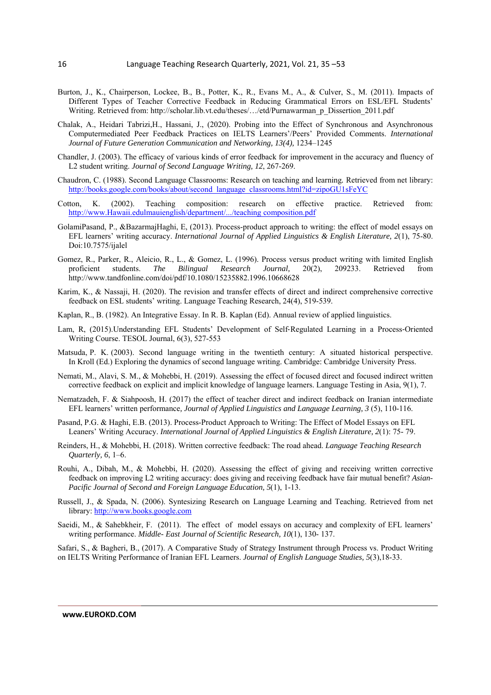- Burton, J., K., Chairperson, Lockee, B., B., Potter, K., R., Evans M., A., & Culver, S., M. (2011). Impacts of Different Types of Teacher Corrective Feedback in Reducing Grammatical Errors on ESL/EFL Students' Writing. Retrieved from: http://scholar.lib.vt.edu/theses/.../etd/Purnawarman p\_Dissertion\_2011.pdf
- Chalak, A., Heidari Tabrizi,H., Hassani, J., (2020). Probing into the Effect of Synchronous and Asynchronous Computermediated Peer Feedback Practices on IELTS Learners'/Peers' Provided Comments. *International Journal of Future Generation Communication and Networking, 13(4), 1234–1245*
- Chandler, J. (2003). The efficacy of various kinds of error feedback for improvement in the accuracy and fluency of L2 student writing. *Journal of Second Language Writing, 12*, 267-269.
- Chaudron, C. (1988). Second Language Classrooms: Research on teaching and learning*.* Retrieved from net library: http://books.google.com/books/about/second\_language\_classrooms.html?id=zipoGU1sFeYC
- Cotton, K. (2002). Teaching composition: research on effective practice. Retrieved from: http://www.Hawaii.edulmauienglish/department/.../teaching composition.pdf
- GolamiPasand, P., &BazarmajHaghi, E, (2013). Process-product approach to writing: the effect of model essays on EFL learners' writing accuracy. *International Journal of Applied Linguistics & English Literature, 2*(1), 75-80. Doi:10.7575/ijalel
- Gomez, R., Parker, R., Aleicio, R., L., & Gomez, L. (1996). Process versus product writing with limited English proficient students. *The Bilingual Research Journal,* 20(2), 209233. Retrieved from http://www.tandfonline.com/doi/pdf/10.1080/15235882.1996.10668628
- Karim, K., & Nassaji, H. (2020). The revision and transfer effects of direct and indirect comprehensive corrective feedback on ESL students' writing. Language Teaching Research, 24(4), 519-539.
- Kaplan, R., B. (1982). An Integrative Essay. In R. B. Kaplan (Ed). Annual review of applied linguistics.
- Lam, R, (2015).Understanding EFL Students' Development of Self‐Regulated Learning in a Process‐Oriented Writing Course. TESOL Journal, 6(3), 527-553
- Matsuda, P. K. (2003). Second language writing in the twentieth century: A situated historical perspective. In Kroll (Ed.) Exploring the dynamics of second language writing. Cambridge: Cambridge University Press.
- Nemati, M., Alavi, S. M., & Mohebbi, H. (2019). Assessing the effect of focused direct and focused indirect written corrective feedback on explicit and implicit knowledge of language learners. Language Testing in Asia, 9(1), 7.
- Nematzadeh, F. & Siahpoosh, H. (2017) the effect of teacher direct and indirect feedback on Iranian intermediate EFL learners' written performance*, Journal of Applied Linguistics and Language Learning, 3* (5), 110-116.
- Pasand, P.G. & Haghi, E.B. (2013). Process-Product Approach to Writing: The Effect of Model Essays on EFL Leaners' Writing Accuracy. *International Journal of Applied Linguistics & English Literature, 2*(1): 75- 79.
- Reinders, H., & Mohebbi, H. (2018). Written corrective feedback: The road ahead. *Language Teaching Research Quarterly, 6*, 1–6.
- Rouhi, A., Dibah, M., & Mohebbi, H. (2020). Assessing the effect of giving and receiving written corrective feedback on improving L2 writing accuracy: does giving and receiving feedback have fair mutual benefit? *Asian-Pacific Journal of Second and Foreign Language Education, 5*(1), 1-13.
- Russell, J., & Spada, N. (2006). Syntesizing Research on Language Learning and Teaching. Retrieved from net library: http://www.books.google.com
- Saeidi, M., & Sahebkheir, F. (2011). The effect of model essays on accuracy and complexity of EFL learners' writing performance. *Middle- East Journal of Scientific Research, 10*(1), 130- 137.
- Safari, S., & Bagheri, B., (2017). A Comparative Study of Strategy Instrument through Process vs. Product Writing on IELTS Writing Performance of Iranian EFL Learners. *Journal of English Language Studies, 5*(3),18-33.